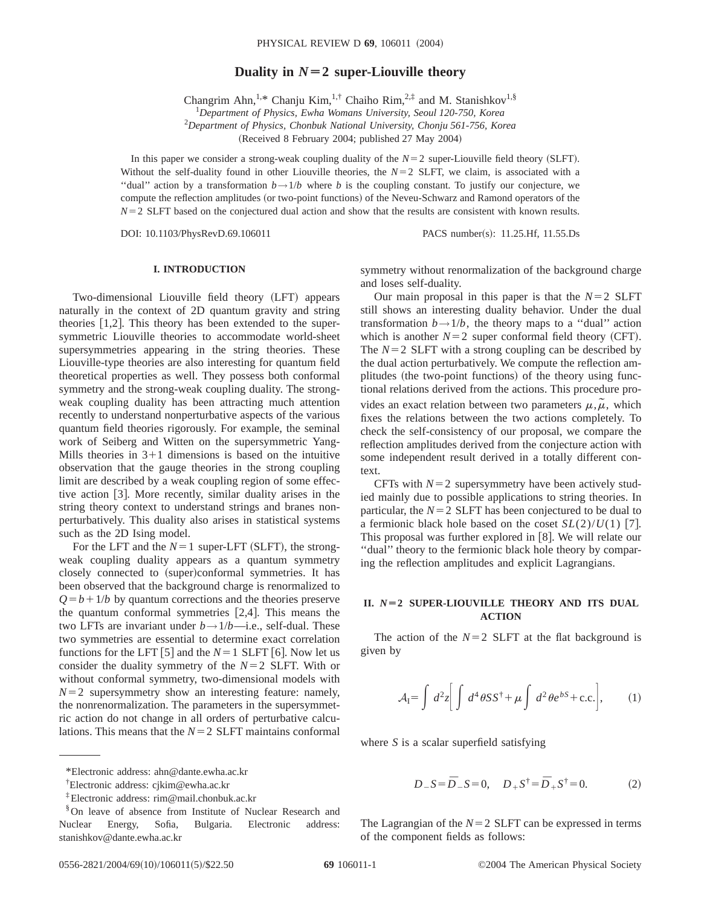# **Duality in**  $N=2$  super-Liouville theory

Changrim Ahn,<sup>1,\*</sup> Chanju Kim,<sup>1,†</sup> Chaiho Rim,<sup>2,‡</sup> and M. Stanishkov<sup>1,§</sup>

1 *Department of Physics, Ewha Womans University, Seoul 120-750, Korea*

2 *Department of Physics, Chonbuk National University, Chonju 561-756, Korea*

(Received 8 February 2004; published 27 May 2004)

In this paper we consider a strong-weak coupling duality of the  $N=2$  super-Liouville field theory (SLFT). Without the self-duality found in other Liouville theories, the  $N=2$  SLFT, we claim, is associated with a "dual" action by a transformation  $b \rightarrow 1/b$  where *b* is the coupling constant. To justify our conjecture, we compute the reflection amplitudes (or two-point functions) of the Neveu-Schwarz and Ramond operators of the  $N=2$  SLFT based on the conjectured dual action and show that the results are consistent with known results.

DOI: 10.1103/PhysRevD.69.106011 PACS number(s): 11.25.Hf, 11.55.Ds

### **I. INTRODUCTION**

Two-dimensional Liouville field theory (LFT) appears naturally in the context of 2D quantum gravity and string theories  $[1,2]$ . This theory has been extended to the supersymmetric Liouville theories to accommodate world-sheet supersymmetries appearing in the string theories. These Liouville-type theories are also interesting for quantum field theoretical properties as well. They possess both conformal symmetry and the strong-weak coupling duality. The strongweak coupling duality has been attracting much attention recently to understand nonperturbative aspects of the various quantum field theories rigorously. For example, the seminal work of Seiberg and Witten on the supersymmetric Yang-Mills theories in  $3+1$  dimensions is based on the intuitive observation that the gauge theories in the strong coupling limit are described by a weak coupling region of some effective action  $\lceil 3 \rceil$ . More recently, similar duality arises in the string theory context to understand strings and branes nonperturbatively. This duality also arises in statistical systems such as the 2D Ising model.

For the LFT and the  $N=1$  super-LFT (SLFT), the strongweak coupling duality appears as a quantum symmetry closely connected to (super)conformal symmetries. It has been observed that the background charge is renormalized to  $Q = b + 1/b$  by quantum corrections and the theories preserve the quantum conformal symmetries  $[2,4]$ . This means the two LFTs are invariant under  $b \rightarrow 1/b$ —i.e., self-dual. These two symmetries are essential to determine exact correlation functions for the LFT [5] and the  $N=1$  SLFT [6]. Now let us consider the duality symmetry of the  $N=2$  SLFT. With or without conformal symmetry, two-dimensional models with  $N=2$  supersymmetry show an interesting feature: namely, the nonrenormalization. The parameters in the supersymmetric action do not change in all orders of perturbative calculations. This means that the  $N=2$  SLFT maintains conformal

symmetry without renormalization of the background charge and loses self-duality.

Our main proposal in this paper is that the  $N=2$  SLFT still shows an interesting duality behavior. Under the dual transformation  $b \rightarrow 1/b$ , the theory maps to a "dual" action which is another  $N=2$  super conformal field theory (CFT). The  $N=2$  SLFT with a strong coupling can be described by the dual action perturbatively. We compute the reflection amplitudes (the two-point functions) of the theory using functional relations derived from the actions. This procedure provides an exact relation between two parameters  $\mu$ ,  $\tilde{\mu}$ , which fixes the relations between the two actions completely. To

check the self-consistency of our proposal, we compare the reflection amplitudes derived from the conjecture action with some independent result derived in a totally different context.

CFTs with  $N=2$  supersymmetry have been actively studied mainly due to possible applications to string theories. In particular, the  $N=2$  SLFT has been conjectured to be dual to a fermionic black hole based on the coset  $SL(2)/U(1)$  [7]. This proposal was further explored in  $[8]$ . We will relate our ''dual'' theory to the fermionic black hole theory by comparing the reflection amplitudes and explicit Lagrangians.

## **II.** *N***Ä2 SUPER-LIOUVILLE THEORY AND ITS DUAL ACTION**

The action of the  $N=2$  SLFT at the flat background is given by

$$
\mathcal{A}_{I} = \int d^{2}z \left[ \int d^{4}\theta S S^{\dagger} + \mu \int d^{2}\theta e^{bS} + \text{c.c.} \right], \qquad (1)
$$

where *S* is a scalar superfield satisfying

$$
D_{-}S = \bar{D}_{-}S = 0, \quad D_{+}S^{\dagger} = \bar{D}_{+}S^{\dagger} = 0.
$$
 (2)

The Lagrangian of the  $N=2$  SLFT can be expressed in terms of the component fields as follows:

<sup>\*</sup>Electronic address: ahn@dante.ewha.ac.kr

<sup>†</sup> Electronic address: cjkim@ewha.ac.kr

<sup>‡</sup>Electronic address: rim@mail.chonbuk.ac.kr

<sup>§</sup>On leave of absence from Institute of Nuclear Research and Nuclear Energy, Sofia, Bulgaria. Electronic address: stanishkov@dante.ewha.ac.kr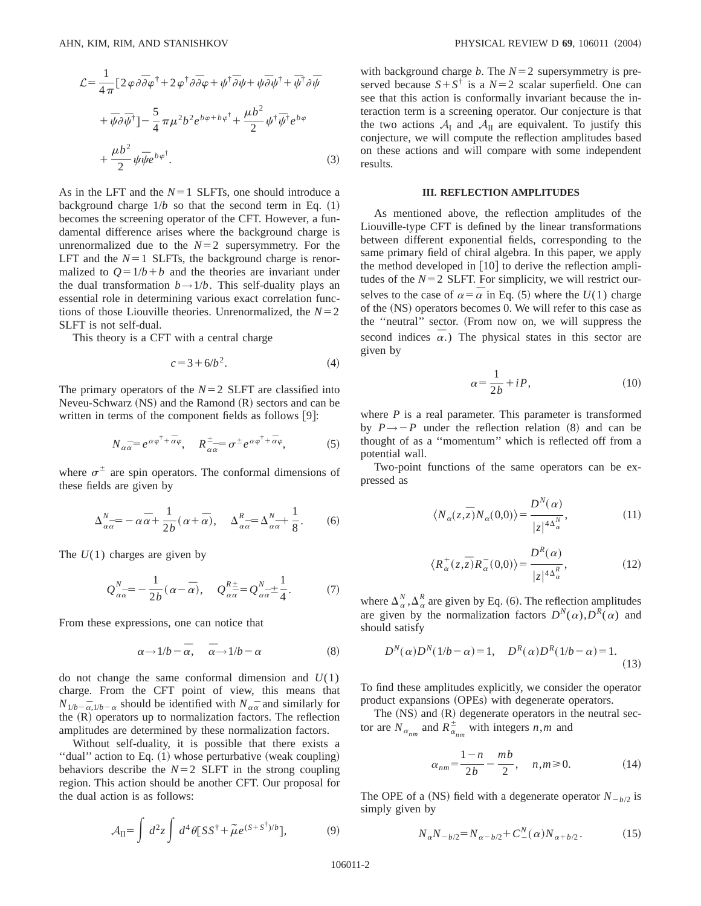$$
\mathcal{L} = \frac{1}{4\pi} \left[ 2\varphi \partial \overline{\partial} \varphi^{\dagger} + 2\varphi^{\dagger} \partial \overline{\partial} \varphi + \psi^{\dagger} \overline{\partial} \psi + \psi \overline{\partial} \psi^{\dagger} + \overline{\psi}^{\dagger} \partial \overline{\psi} \right]
$$

$$
+ \overline{\psi} \partial \overline{\psi}^{\dagger} \right] - \frac{5}{4} \pi \mu^2 b^2 e^{b\varphi + b\varphi^{\dagger}} + \frac{\mu b^2}{2} \psi^{\dagger} \overline{\psi}^{\dagger} e^{b\varphi}
$$

$$
+ \frac{\mu b^2}{2} \psi \overline{\psi} e^{b\varphi^{\dagger}}.
$$
(3)

As in the LFT and the  $N=1$  SLFTs, one should introduce a background charge  $1/b$  so that the second term in Eq.  $(1)$ becomes the screening operator of the CFT. However, a fundamental difference arises where the background charge is unrenormalized due to the  $N=2$  supersymmetry. For the LFT and the  $N=1$  SLFTs, the background charge is renormalized to  $Q = 1/b + b$  and the theories are invariant under the dual transformation  $b \rightarrow 1/b$ . This self-duality plays an essential role in determining various exact correlation functions of those Liouville theories. Unrenormalized, the  $N=2$ SLFT is not self-dual.

This theory is a CFT with a central charge

$$
c = 3 + 6/b^2.
$$
 (4)

The primary operators of the  $N=2$  SLFT are classified into Neveu-Schwarz  $(NS)$  and the Ramond  $(R)$  sectors and can be written in terms of the component fields as follows  $[9]$ :

$$
N_{\alpha\overline{\alpha}} = e^{\alpha\varphi^{\dagger} + \overline{\alpha}\varphi}, \quad R^{\pm}_{\alpha\overline{\alpha}} = \sigma^{\pm}e^{\alpha\varphi^{\dagger} + \overline{\alpha}\varphi}, \tag{5}
$$

where  $\sigma^{\pm}$  are spin operators. The conformal dimensions of these fields are given by

$$
\Delta_{\alpha\bar{\alpha}}^N = -\alpha\bar{\alpha} + \frac{1}{2b}(\alpha + \bar{\alpha}), \quad \Delta_{\alpha\bar{\alpha}}^R = \Delta_{\alpha\bar{\alpha}}^N + \frac{1}{8}.
$$
 (6)

The *U*(1) charges are given by

$$
Q_{\alpha\alpha}^{N} = -\frac{1}{2b}(\alpha - \overline{\alpha}), \quad Q_{\alpha\alpha}^{R\pm} = Q_{\alpha\alpha}^{N\pm} \pm \frac{1}{4}.
$$
 (7)

From these expressions, one can notice that

$$
\alpha \longrightarrow 1/b - \bar{\alpha}, \quad \bar{\alpha} \longrightarrow 1/b - \alpha \tag{8}
$$

do not change the same conformal dimension and  $U(1)$ charge. From the CFT point of view, this means that  $N_{1/b-\overline{\alpha},1/b-\alpha}$  should be identified with  $N_{\alpha\overline{\alpha}}$  and similarly for the  $(R)$  operators up to normalization factors. The reflection amplitudes are determined by these normalization factors.

Without self-duality, it is possible that there exists a "dual" action to Eq.  $(1)$  whose perturbative (weak coupling) behaviors describe the  $N=2$  SLFT in the strong coupling region. This action should be another CFT. Our proposal for the dual action is as follows:

$$
\mathcal{A}_{II} = \int d^2 z \int d^4 \theta [SS^{\dagger} + \tilde{\mu} e^{(S+S^{\dagger})/b}], \tag{9}
$$

with background charge *b*. The  $N=2$  supersymmetry is preserved because  $S + S^{\dagger}$  is a  $N=2$  scalar superfield. One can see that this action is conformally invariant because the interaction term is a screening operator. Our conjecture is that the two actions  $A_I$  and  $A_{II}$  are equivalent. To justify this conjecture, we will compute the reflection amplitudes based on these actions and will compare with some independent results.

#### **III. REFLECTION AMPLITUDES**

As mentioned above, the reflection amplitudes of the Liouville-type CFT is defined by the linear transformations between different exponential fields, corresponding to the same primary field of chiral algebra. In this paper, we apply the method developed in  $[10]$  to derive the reflection amplitudes of the  $N=2$  SLFT. For simplicity, we will restrict ourselves to the case of  $\alpha = \overline{\alpha}$  in Eq. (5) where the *U*(1) charge of the (NS) operators becomes 0. We will refer to this case as the "neutral" sector. (From now on, we will suppress the second indices  $\overline{\alpha}$ .) The physical states in this sector are given by

$$
\alpha = \frac{1}{2b} + iP,\tag{10}
$$

where *P* is a real parameter. This parameter is transformed by  $P \rightarrow -P$  under the reflection relation (8) and can be thought of as a ''momentum'' which is reflected off from a potential wall.

Two-point functions of the same operators can be expressed as

$$
\langle N_{\alpha}(z,\overline{z})N_{\alpha}(0,0)\rangle = \frac{D^{N}(\alpha)}{|z|^{4\Delta_{\alpha}^{N}}},
$$
\n(11)

$$
\langle R_{\alpha}^{+}(z,\overline{z})R_{\alpha}^{-}(0,0)\rangle = \frac{D^{R}(\alpha)}{|z|^{4\Delta_{\alpha}^{R}}},
$$
\n(12)

where  $\Delta_{\alpha}^{N}$ ,  $\Delta_{\alpha}^{R}$  are given by Eq. (6). The reflection amplitudes are given by the normalization factors  $D^N(\alpha)$ ,  $D^R(\alpha)$  and should satisfy

$$
D^{N}(\alpha)D^{N}(1/b - \alpha) = 1, \quad D^{R}(\alpha)D^{R}(1/b - \alpha) = 1.
$$
\n(13)

To find these amplitudes explicitly, we consider the operator product expansions (OPEs) with degenerate operators.

The  $(NS)$  and  $(R)$  degenerate operators in the neutral sector are  $N_{\alpha_{nm}}$  and  $R_{\alpha_{nm}}^{\pm}$  with integers *n*,*m* and

$$
\alpha_{nm} = \frac{1-n}{2b} - \frac{mb}{2}, \quad n, m \ge 0.
$$
 (14)

The OPE of a (NS) field with a degenerate operator  $N_{-b/2}$  is simply given by

$$
N_{\alpha}N_{-b/2} = N_{\alpha - b/2} + C_{-}^{N}(\alpha)N_{\alpha + b/2}.
$$
 (15)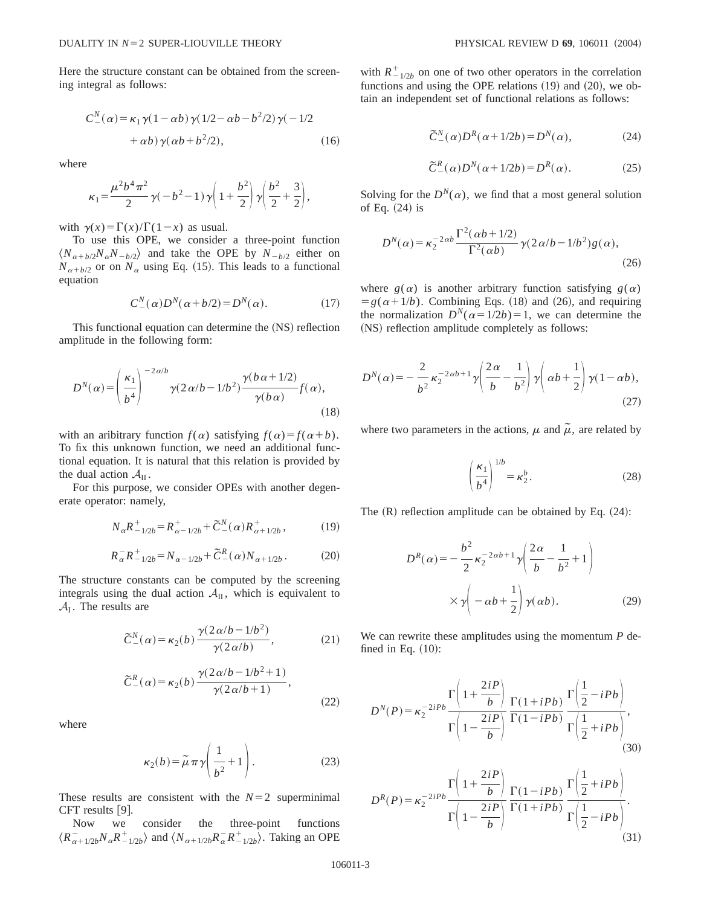Here the structure constant can be obtained from the screening integral as follows:

$$
C_{-}^{N}(\alpha) = \kappa_1 \gamma (1 - \alpha b) \gamma (1/2 - \alpha b - b^2/2) \gamma (-1/2
$$
  
+  $\alpha b) \gamma (\alpha b + b^2/2),$  (16)

where

$$
\kappa_1 = \frac{\mu^2 b^4 \pi^2}{2} \gamma (-b^2 - 1) \gamma \left( 1 + \frac{b^2}{2} \right) \gamma \left( \frac{b^2}{2} + \frac{3}{2} \right),
$$

with  $\gamma(x) = \Gamma(x)/\Gamma(1-x)$  as usual.

To use this OPE, we consider a three-point function  $\langle N_{\alpha+b/2}N_{\alpha}N_{-b/2}\rangle$  and take the OPE by  $N_{-b/2}$  either on  $N_{\alpha+b/2}$  or on  $N_{\alpha}$  using Eq. (15). This leads to a functional equation

$$
C_{-}^{N}(\alpha)D^{N}(\alpha+b/2) = D^{N}(\alpha). \qquad (17)
$$

This functional equation can determine the (NS) reflection amplitude in the following form:

$$
D^{N}(\alpha) = \left(\frac{\kappa_{1}}{b^{4}}\right)^{-2\alpha/b} \gamma(2\alpha/b - 1/b^{2}) \frac{\gamma(b\alpha + 1/2)}{\gamma(b\alpha)} f(\alpha),
$$
\n(18)

with an aribitrary function  $f(\alpha)$  satisfying  $f(\alpha) = f(\alpha+b)$ . To fix this unknown function, we need an additional functional equation. It is natural that this relation is provided by the dual action  $A_{II}$ .

For this purpose, we consider OPEs with another degenerate operator: namely,

$$
N_{\alpha}R^{+}_{-1/2b} = R^{+}_{\alpha-1/2b} + \tilde{C}^{N}_{-}(\alpha)R^{+}_{\alpha+1/2b}, \qquad (19)
$$

$$
R_{\alpha}^{-}R_{-1/2b}^{+} = N_{\alpha-1/2b} + \tilde{C}_{-}^{R}(\alpha)N_{\alpha+1/2b}.
$$
 (20)

The structure constants can be computed by the screening integrals using the dual action  $A_{II}$ , which is equivalent to  $A<sub>I</sub>$ . The results are

$$
\widetilde{C}^N_-(\alpha) = \kappa_2(b) \frac{\gamma(2\alpha/b - 1/b^2)}{\gamma(2\alpha/b)},\tag{21}
$$

$$
\widetilde{C}^R_-(\alpha) = \kappa_2(b) \frac{\gamma(2\alpha/b - 1/b^2 + 1)}{\gamma(2\alpha/b + 1)},
$$
\n(22)

where

$$
\kappa_2(b) = \tilde{\mu}\pi\gamma \left(\frac{1}{b^2} + 1\right). \tag{23}
$$

These results are consistent with the  $N=2$  superminimal CFT results  $[9]$ .

Now we consider the three-point functions  $\langle R_{\alpha+1/2b}^- N_{\alpha} R_{-1/2b}^+ \rangle$  and  $\langle N_{\alpha+1/2b} R_{\alpha}^- R_{-1/2b}^+ \rangle$ . Taking an OPE with  $R_{-1/2b}^{+}$  on one of two other operators in the correlation functions and using the OPE relations  $(19)$  and  $(20)$ , we obtain an independent set of functional relations as follows:

$$
\tilde{C}^N_-(\alpha)D^R(\alpha+1/2b) = D^N(\alpha),\tag{24}
$$

$$
\tilde{C}^R_-(\alpha)D^N(\alpha+1/2b) = D^R(\alpha). \tag{25}
$$

Solving for the  $D^N(\alpha)$ , we find that a most general solution of Eq.  $(24)$  is

$$
D^{N}(\alpha) = \kappa_2^{-2\alpha b} \frac{\Gamma^2(\alpha b + 1/2)}{\Gamma^2(\alpha b)} \gamma(2\alpha/b - 1/b^2) g(\alpha),
$$
\n(26)

where  $g(\alpha)$  is another arbitrary function satisfying  $g(\alpha)$  $= g(\alpha + 1/b)$ . Combining Eqs. (18) and (26), and requiring the normalization  $D^{N}(a=1/2b)=1$ , we can determine the (NS) reflection amplitude completely as follows:

$$
D^{N}(\alpha) = -\frac{2}{b^2} \kappa_2^{-2\alpha b + 1} \gamma \left(\frac{2\alpha}{b} - \frac{1}{b^2}\right) \gamma \left(\alpha b + \frac{1}{2}\right) \gamma (1 - \alpha b),\tag{27}
$$

where two parameters in the actions,  $\mu$  and  $\tilde{\mu}$ , are related by

$$
\left(\frac{\kappa_1}{b^4}\right)^{1/b} = \kappa_2^b. \tag{28}
$$

The  $(R)$  reflection amplitude can be obtained by Eq.  $(24)$ :

$$
D^{R}(\alpha) = -\frac{b^{2}}{2} \kappa_{2}^{-2\alpha b+1} \gamma \left( \frac{2\alpha}{b} - \frac{1}{b^{2}} + 1 \right)
$$

$$
\times \gamma \left( -\alpha b + \frac{1}{2} \right) \gamma(\alpha b).
$$
 (29)

We can rewrite these amplitudes using the momentum *P* defined in Eq.  $(10)$ :

$$
D^{N}(P) = \kappa_2^{-2iPb} \frac{\Gamma\left(1 + \frac{2iP}{b}\right)}{\Gamma\left(1 - \frac{2iP}{b}\right)} \frac{\Gamma(1+iPb)}{\Gamma(1-iPb)} \frac{\Gamma\left(\frac{1}{2} - iPb\right)}{\Gamma\left(\frac{1}{2} + iPb\right)},\tag{30}
$$

$$
D^{R}(P) = \kappa_2^{-2iPb} \frac{\Gamma\left(1 + \frac{2iP}{b}\right)}{\Gamma\left(1 - \frac{2iP}{b}\right)} \frac{\Gamma(1 - iPb)}{\Gamma(1 + iPb)} \frac{\Gamma\left(\frac{1}{2} + iPb\right)}{\Gamma\left(\frac{1}{2} - iPb\right)}.
$$
\n(31)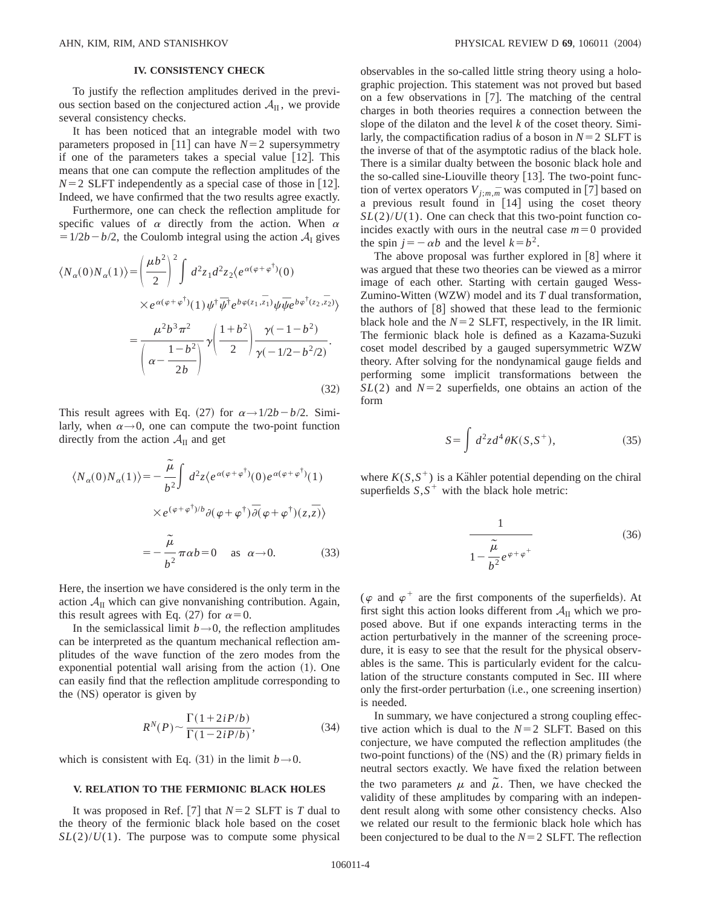## **IV. CONSISTENCY CHECK**

To justify the reflection amplitudes derived in the previous section based on the conjectured action  $A_{II}$ , we provide several consistency checks.

It has been noticed that an integrable model with two parameters proposed in [11] can have  $N=2$  supersymmetry if one of the parameters takes a special value  $[12]$ . This means that one can compute the reflection amplitudes of the  $N=2$  SLFT independently as a special case of those in [12]. Indeed, we have confirmed that the two results agree exactly.

Furthermore, one can check the reflection amplitude for specific values of  $\alpha$  directly from the action. When  $\alpha$  $=1/2b-b/2$ , the Coulomb integral using the action  $A<sub>I</sub>$  gives

$$
\langle N_{\alpha}(0)N_{\alpha}(1)\rangle = \left(\frac{\mu b^2}{2}\right)^2 \int d^2z_1 d^2z_2 \langle e^{\alpha(\varphi + \varphi^{\dagger})}(0) \times e^{\alpha(\varphi + \varphi^{\dagger})}(1)\psi^{\dagger} \overline{\psi}^{\dagger} e^{b\varphi(z_1, \overline{z}_1)} \psi \overline{\psi} e^{b\varphi^{\dagger}(z_2, \overline{z}_2)}\rangle
$$

$$
= \frac{\mu^2 b^3 \pi^2}{\left(\alpha - \frac{1 - b^2}{2b}\right)} \gamma \left(\frac{1 + b^2}{2}\right) \frac{\gamma(-1 - b^2)}{\gamma(-1/2 - b^2/2)}.
$$
(32)

This result agrees with Eq.  $(27)$  for  $\alpha \rightarrow 1/2b - b/2$ . Similarly, when  $\alpha \rightarrow 0$ , one can compute the two-point function directly from the action  $A_{II}$  and get

$$
\langle N_{\alpha}(0)N_{\alpha}(1)\rangle = -\frac{\tilde{\mu}}{b^2} \int d^2z \langle e^{\alpha(\varphi + \varphi^{\dagger})}(0) e^{\alpha(\varphi + \varphi^{\dagger})}(1) \times e^{(\varphi + \varphi^{\dagger})/b} \partial(\varphi + \varphi^{\dagger}) \overline{\partial}(\varphi + \varphi^{\dagger})(z, \overline{z})\rangle
$$
  

$$
= -\frac{\tilde{\mu}}{b^2} \pi \alpha b = 0 \quad \text{as } \alpha \to 0. \tag{33}
$$

Here, the insertion we have considered is the only term in the action  $A_{II}$  which can give nonvanishing contribution. Again, this result agrees with Eq. (27) for  $\alpha=0$ .

In the semiclassical limit  $b \rightarrow 0$ , the reflection amplitudes can be interpreted as the quantum mechanical reflection amplitudes of the wave function of the zero modes from the exponential potential wall arising from the action  $(1)$ . One can easily find that the reflection amplitude corresponding to the  $(NS)$  operator is given by

$$
R^N(P) \sim \frac{\Gamma(1+2iP/b)}{\Gamma(1-2iP/b)},\tag{34}
$$

which is consistent with Eq.  $(31)$  in the limit  $b\rightarrow 0$ .

## **V. RELATION TO THE FERMIONIC BLACK HOLES**

It was proposed in Ref. [7] that  $N=2$  SLFT is *T* dual to the theory of the fermionic black hole based on the coset  $SL(2)/U(1)$ . The purpose was to compute some physical observables in the so-called little string theory using a holographic projection. This statement was not proved but based on a few observations in  $[7]$ . The matching of the central charges in both theories requires a connection between the slope of the dilaton and the level *k* of the coset theory. Similarly, the compactification radius of a boson in  $N=2$  SLFT is the inverse of that of the asymptotic radius of the black hole. There is a similar dualty between the bosonic black hole and the so-called sine-Liouville theory  $[13]$ . The two-point function of vertex operators  $V_{j;m,m}$ <sup>n</sup> was computed in [7] based on a previous result found in [14] using the coset theory  $SL(2)/U(1)$ . One can check that this two-point function coincides exactly with ours in the neutral case  $m=0$  provided the spin  $j=-\alpha b$  and the level  $k=b^2$ .

The above proposal was further explored in  $[8]$  where it was argued that these two theories can be viewed as a mirror image of each other. Starting with certain gauged Wess-Zumino-Witten (WZW) model and its *T* dual transformation, the authors of  $[8]$  showed that these lead to the fermionic black hole and the  $N=2$  SLFT, respectively, in the IR limit. The fermionic black hole is defined as a Kazama-Suzuki coset model described by a gauged supersymmetric WZW theory. After solving for the nondynamical gauge fields and performing some implicit transformations between the  $SL(2)$  and  $N=2$  superfields, one obtains an action of the form

$$
S = \int d^2z d^4\theta K(S, S^+),\tag{35}
$$

where  $K(S, S^+)$  is a Kähler potential depending on the chiral superfields  $S, S^+$  with the black hole metric:

$$
\frac{1}{1 - \frac{\tilde{\mu}}{b^2} e^{\varphi + \varphi^+}}
$$
 (36)

( $\varphi$  and  $\varphi^+$  are the first components of the superfields). At first sight this action looks different from  $A_{II}$  which we proposed above. But if one expands interacting terms in the action perturbatively in the manner of the screening procedure, it is easy to see that the result for the physical observables is the same. This is particularly evident for the calculation of the structure constants computed in Sec. III where only the first-order perturbation (i.e., one screening insertion) is needed.

In summary, we have conjectured a strong coupling effective action which is dual to the  $N=2$  SLFT. Based on this conjecture, we have computed the reflection amplitudes (the two-point functions) of the  $(NS)$  and the  $(R)$  primary fields in neutral sectors exactly. We have fixed the relation between the two parameters  $\mu$  and  $\tilde{\mu}$ . Then, we have checked the validity of these amplitudes by comparing with an independent result along with some other consistency checks. Also we related our result to the fermionic black hole which has been conjectured to be dual to the  $N=2$  SLFT. The reflection